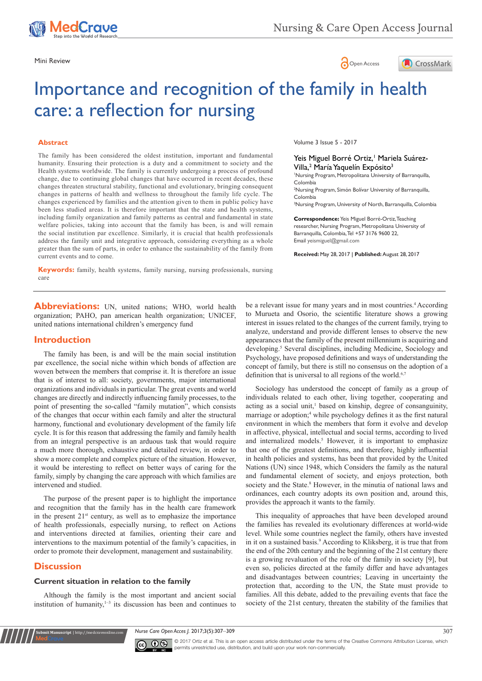





# Importance and recognition of the family in health care: a reflection for nursing

#### **Abstract**

The family has been considered the oldest institution, important and fundamental humanity. Ensuring their protection is a duty and a commitment to society and the Health systems worldwide. The family is currently undergoing a process of profound change, due to continuing global changes that have occurred in recent decades, these changes threaten structural stability, functional and evolutionary, bringing consequent changes in patterns of health and wellness to throughout the family life cycle. The changes experienced by families and the attention given to them in public policy have been less studied areas. It is therefore important that the state and health systems, including family organization and family patterns as central and fundamental in state welfare policies, taking into account that the family has been, is and will remain the social institution par excellence. Similarly, it is crucial that health professionals address the family unit and integrative approach, considering everything as a whole greater than the sum of parts, in order to enhance the sustainability of the family from current events and to come.

Volume 3 Issue 5 - 2017

### Yeis Miguel Borré Ortiz,<sup>†</sup> Mariela Suárez-Villa,<sup>2</sup> María Yaquelín Expósito<sup>3</sup>

1 Nursing Program, Metropolitana University of Barranquilla, Colombia

2 Nursing Program, Simón Bolívar University of Barranquilla, Colombia

<sup>3</sup>Nursing Program, University of North, Barranquilla, Colombia

**Correspondence:** Yeis Miguel Borré-Ortiz, Teaching researcher, Nursing Program, Metropolitana University of Barranquilla, Colombia, Tel +57 3176 9600 22, Email yeismiguel@gmail.com

**Received:** May 28, 2017 | **Published:** August 28, 2017

**Keywords:** family, health systems, family nursing, nursing professionals, nursing care

**Abbreviations:** UN, united nations; WHO, world health organization; PAHO, pan american health organization; UNICEF, united nations international children's emergency fund

#### **Introduction**

The family has been, is and will be the main social institution par excellence, the social niche within which bonds of affection are woven between the members that comprise it. It is therefore an issue that is of interest to all: society, governments, major international organizations and individuals in particular. The great events and world changes are directly and indirectly influencing family processes, to the point of presenting the so-called "family mutation", which consists of the changes that occur within each family and alter the structural harmony, functional and evolutionary development of the family life cycle. It is for this reason that addressing the family and family health from an integral perspective is an arduous task that would require a much more thorough, exhaustive and detailed review, in order to show a more complete and complex picture of the situation. However, it would be interesting to reflect on better ways of caring for the family, simply by changing the care approach with which families are intervened and studied.

The purpose of the present paper is to highlight the importance and recognition that the family has in the health care framework in the present  $21<sup>st</sup>$  century, as well as to emphasize the importance of health professionals, especially nursing, to reflect on Actions and interventions directed at families, orienting their care and interventions to the maximum potential of the family's capacities, in order to promote their development, management and sustainability.

## **Discussion**

**it Manuscript** | http://medcraveonline.

#### **Current situation in relation to the family**

Although the family is the most important and ancient social institution of humanity, $1-3$  its discussion has been and continues to be a relevant issue for many years and in most countries.<sup>4</sup> According to Murueta and Osorio, the scientific literature shows a growing interest in issues related to the changes of the current family, trying to analyze, understand and provide different lenses to observe the new appearances that the family of the present millennium is acquiring and developing.<sup>5</sup> Several disciplines, including Medicine, Sociology and Psychology, have proposed definitions and ways of understanding the concept of family, but there is still no consensus on the adoption of a definition that is universal to all regions of the world.<sup>6,7</sup>

Sociology has understood the concept of family as a group of individuals related to each other, living together, cooperating and acting as a social unit,<sup>1</sup> based on kinship, degree of consanguinity, marriage or adoption;<sup>4</sup> while psychology defines it as the first natural environment in which the members that form it evolve and develop in affective, physical, intellectual and social terms, according to lived and internalized models.<sup>5</sup> However, it is important to emphasize that one of the greatest definitions, and therefore, highly influential in health policies and systems, has been that provided by the United Nations (UN) since 1948, which Considers the family as the natural and fundamental element of society, and enjoys protection, both society and the State.<sup>8</sup> However, in the minutia of national laws and ordinances, each country adopts its own position and, around this, provides the approach it wants to the family.

This inequality of approaches that have been developed around the families has revealed its evolutionary differences at world-wide level. While some countries neglect the family, others have invested in it on a sustained basis.9 According to Kliksberg, it is true that from the end of the 20th century and the beginning of the 21st century there is a growing revaluation of the role of the family in society [9], but even so, policies directed at the family differ and have advantages and disadvantages between countries; Leaving in uncertainty the protection that, according to the UN, the State must provide to families. All this debate, added to the prevailing events that face the society of the 21st century, threaten the stability of the families that

*Nurse Care Open Acces J.* 2017;3(5):307‒309 307



© 2017 Ortiz et al. This is an open access article distributed under the terms of the [Creative Commons Attribution License](https://creativecommons.org/licenses/by-nc/4.0/), which permits unrestricted use, distribution, and build upon your work non-commercially.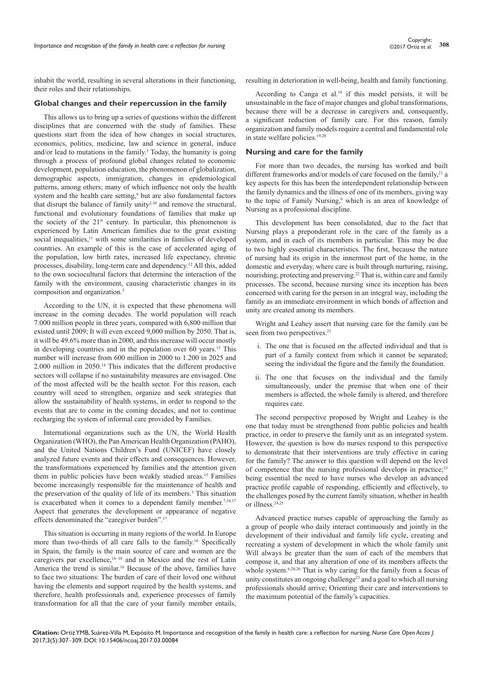inhabit the world, resulting in several alterations in their functioning, their roles and their relationships.

#### **Global changes and their repercussion in the family**

This allows us to bring up a series of questions within the different disciplines that are concerned with the study of families. These questions start from the idea of how changes in social structures, economics, politics, medicine, law and science in general, induce and/or lead to mutations in the family.<sup>5</sup> Today, the humanity is going through a process of profound global changes related to economic development, population education, the phenomenon of globalization, demographic aspects, immigration, changes in epidemiological patterns, among others; many of which influence not only the health system and the health care setting,<sup>9</sup> but are also fundamental factors that disrupt the balance of family unity $2,10$  and remove the structural, functional and evolutionary foundations of families that make up the society of the  $21^{st}$  century. In particular, this phenomenon is experienced by Latin American families due to the great existing social inequalities,<sup>11</sup> with some similarities in families of developed countries. An example of this is the case of accelerated aging of the population, low birth rates, increased life expectancy, chronic processes, disability, long-term care and dependency.12 All this, added to the own sociocultural factors that determine the interaction of the family with the environment, causing characteristic changes in its composition and organization.3

According to the UN, it is expected that these phenomena will increase in the coming decades. The world population will reach 7.000 million people in three years, compared with 6,800 million that existed until 2009; It will even exceed 9,000 million by 2050. That is, it will be 49.6% more than in 2000, and this increase will occur mostly in developing countries and in the population over 60 years.13 This number will increase from 600 million in 2000 to 1.200 in 2025 and 2.000 million in 2050.14 This indicates that the different productive sectors will collapse if no sustainability measures are envisaged. One of the most affected will be the health sector. For this reason, each country will need to strengthen, organize and seek strategies that allow the sustainability of health systems, in order to respond to the events that are to come in the coming decades, and not to continue recharging the system of informal care provided by Families.

International organizations such as the UN, the World Health Organization (WHO), the Pan American Health Organization (PAHO), and the United Nations Children's Fund (UNICEF) have closely analyzed future events and their effects and consequences. However, the transformations experienced by families and the attention given them in public policies have been weakly studied areas.15 Families become increasingly responsible for the maintenance of health and the preservation of the quality of life of its members.<sup>3</sup> This situation is exacerbated when it comes to a dependent family member.<sup>7,16,17</sup> Aspect that generates the development or appearance of negative effects denominated the "caregiver burden".17

This situation is occurring in many regions of the world. In Europe more than two-thirds of all care falls to the family.<sup>16</sup> Specifically in Spain, the family is the main source of care and women are the caregivers par excellence,<sup>16–18</sup> and in Mexico and the rest of Latin America the trend is similar.16 Because of the above, families have to face two situations: The burden of care of their loved one without having the elements and support required by the health systems, and therefore, health professionals and, experience processes of family transformation for all that the care of your family member entails,

resulting in deterioration in well-being, health and family functioning.

According to Canga et al.<sup>18</sup> if this model persists, it will be unsustainable in the face of major changes and global transformations, because there will be a decrease in caregivers and, consequently, a significant reduction of family care. For this reason, family organization and family models require a central and fundamental role in state welfare policies.19,20

#### **Nursing and care for the family**

For more than two decades, the nursing has worked and built different frameworks and/or models of care focused on the family, $21$  a key aspects for this has been the interdependent relationship between the family dynamics and the illness of one of its members, giving way to the topic of Family Nursing,<sup>6</sup> which is an area of knowledge of Nursing as a professional discipline.

This development has been consolidated, due to the fact that Nursing plays a preponderant role in the care of the family as a system, and in each of its members in particular. This may be due to two highly essential characteristics. The first, because the nature of nursing had its origin in the innermost part of the home, in the domestic and everyday, where care is built through nurturing, raising, nourishing, protecting and preserving.<sup>22</sup> That is, within care and family processes. The second, because nursing since its inception has been concerned with caring for the person in an integral way, including the family as an immediate environment in which bonds of affection and unity are created among its members.

Wright and Leahey assert that nursing care for the family can be seen from two perspectives.<sup>21</sup>

- i. The one that is focused on the affected individual and that is part of a family context from which it cannot be separated; seeing the individual the figure and the family the foundation.
- ii. The one that focuses on the individual and the family simultaneously, under the premise that when one of their members is affected, the whole family is altered, and therefore requires care.

The second perspective proposed by Wright and Leahey is the one that today must be strengthened from public policies and health practice, in order to preserve the family unit as an integrated system. However, the question is how do nurses respond to this perspective to demonstrate that their interventions are truly effective in caring for the family? The answer to this question will depend on the level of competence that the nursing professional develops in practice;23 being essential the need to have nurses who develop an advanced practice profile capable of responding, efficiently and effectively, to the challenges posed by the current family situation, whether in health or illness.24,25

Advanced practice nurses capable of approaching the family as a group of people who daily interact continuously and jointly in the development of their individual and family life cycle, creating and recreating a system of development in which the whole family unit Will always be greater than the sum of each of the members that compose it, and that any alteration of one of its members affects the whole system.<sup>6,20,26</sup> That is why caring for the family from a focus of unity constitutes an ongoing challenge<sup>23</sup> and a goal to which all nursing professionals should arrive; Orienting their care and interventions to the maximum potential of the family's capacities.